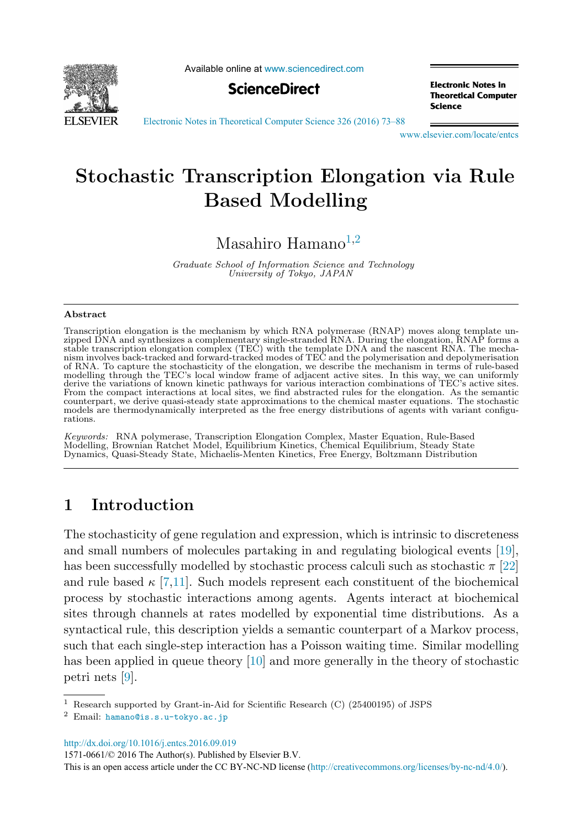

Available online at [www.sciencedirect.com](http://www.sciencedirect.com)



**Electronic Notes in Theoretical Computer Science** 

[Electronic Notes in Theoretical Computer Science 326 \(2016\) 73–88](http://dx.doi.org/10.1016/j.entcs.2016.09.019)

[www.elsevier.com/locate/entcs](http://www.elsevier.com/locate/entcs)

## **Stochastic Transcription Elongation via Rule Based Modelling**

Masahiro Hamano<sup>1,2</sup>

Graduate School of Information Science and Technology University of Tokyo, JAPAN

#### **Abstract**

Transcription elongation is the mechanism by which RNA polymerase (RNAP) moves along template unzipped DNA and synthesizes a complementary single-stranded RNA. During the elongation, RNAP forms a<br>stable transcription elongation complex (TEC) with the template DNA and the nascent RNA. The mecha-<br>nism involves back-tra of RNA. To capture the stochasticity of the elongation, we describe the mechanism in terms of rule-based modelling through the TEC's local window frame of adjacent active sites. In this way, we can uniformly derive the variations of known kinetic pathways for various interaction combinations of TEC's active sites. From the compact interactions at local sites, we find abstracted rules for the elongation. As the semantic counterpart, we derive quasi-steady state approximations to the chemical master equations. The stochastic models are thermodynamically interpreted as the free energy distributions of agents with variant configurations.

Keywords: RNA polymerase, Transcription Elongation Complex, Master Equation, Rule-Based Modelling, Brownian Ratchet Model, Equilibrium Kinetics, Chemical Equilibrium, Steady State Dynamics, Quasi-Steady State, Michaelis-Menten Kinetics, Free Energy, Boltzmann Distribution

## **1 Introduction**

The stochasticity of gene regulation and expression, which is intrinsic to discreteness and small numbers of molecules partaking in and regulating biological events [\[19\]](#page-15-0), has been successfully modelled by stochastic process calculi such as stochastic  $\pi$  [\[22\]](#page-15-0) and rule based  $\kappa$  [\[7,11\]](#page-14-0). Such models represent each constituent of the biochemical process by stochastic interactions among agents. Agents interact at biochemical sites through channels at rates modelled by exponential time distributions. As a syntactical rule, this description yields a semantic counterpart of a Markov process, such that each single-step interaction has a Poisson waiting time. Similar modelling has been applied in queue theory [\[10\]](#page-14-0) and more generally in the theory of stochastic petri nets [\[9\]](#page-14-0).

<http://dx.doi.org/10.1016/j.entcs.2016.09.019>

1571-0661/© 2016 The Author(s). Published by Elsevier B.V.

This is an open access article under the CC BY-NC-ND license [\(http://creativecommons.org/licenses/by-nc-nd/4.0/](http://creativecommons.org/licenses/by-nc-nd/4.0/)).

<sup>1</sup> Research supported by Grant-in-Aid for Scientific Research (C) (25400195) of JSPS

<sup>2</sup> Email: [hamano@is.s.u-tokyo.ac.jp](mailto: hamano@is.s.u-tokyo.ac.jp)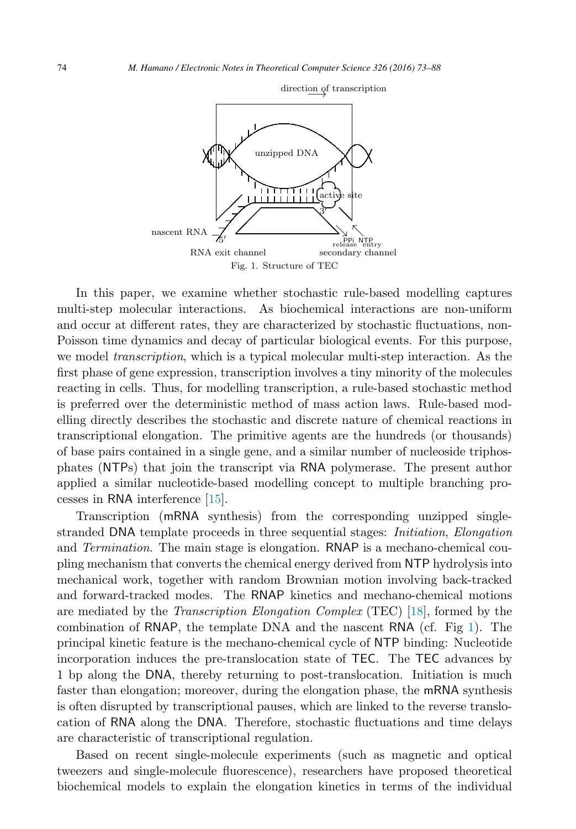

direction of transcription

In this paper, we examine whether stochastic rule-based modelling captures multi-step molecular interactions. As biochemical interactions are non-uniform and occur at different rates, they are characterized by stochastic fluctuations, non-Poisson time dynamics and decay of particular biological events. For this purpose, we model *transcription*, which is a typical molecular multi-step interaction. As the first phase of gene expression, transcription involves a tiny minority of the molecules reacting in cells. Thus, for modelling transcription, a rule-based stochastic method is preferred over the deterministic method of mass action laws. Rule-based modelling directly describes the stochastic and discrete nature of chemical reactions in transcriptional elongation. The primitive agents are the hundreds (or thousands) of base pairs contained in a single gene, and a similar number of nucleoside triphosphates (NTPs) that join the transcript via RNA polymerase. The present author applied a similar nucleotide-based modelling concept to multiple branching processes in RNA interference [\[15\]](#page-14-0).

Transcription (mRNA synthesis) from the corresponding unzipped singlestranded DNA template proceeds in three sequential stages: Initiation, Elongation and *Termination*. The main stage is elongation. RNAP is a mechano-chemical coupling mechanism that converts the chemical energy derived from NTP hydrolysis into mechanical work, together with random Brownian motion involving back-tracked and forward-tracked modes. The RNAP kinetics and mechano-chemical motions are mediated by the Transcription Elongation Complex (TEC) [\[18\]](#page-15-0), formed by the combination of RNAP, the template DNA and the nascent RNA (cf. Fig 1). The principal kinetic feature is the mechano-chemical cycle of NTP binding: Nucleotide incorporation induces the pre-translocation state of TEC. The TEC advances by 1 bp along the DNA, thereby returning to post-translocation. Initiation is much faster than elongation; moreover, during the elongation phase, the mRNA synthesis is often disrupted by transcriptional pauses, which are linked to the reverse translocation of RNA along the DNA. Therefore, stochastic fluctuations and time delays are characteristic of transcriptional regulation.

Based on recent single-molecule experiments (such as magnetic and optical tweezers and single-molecule fluorescence), researchers have proposed theoretical biochemical models to explain the elongation kinetics in terms of the individual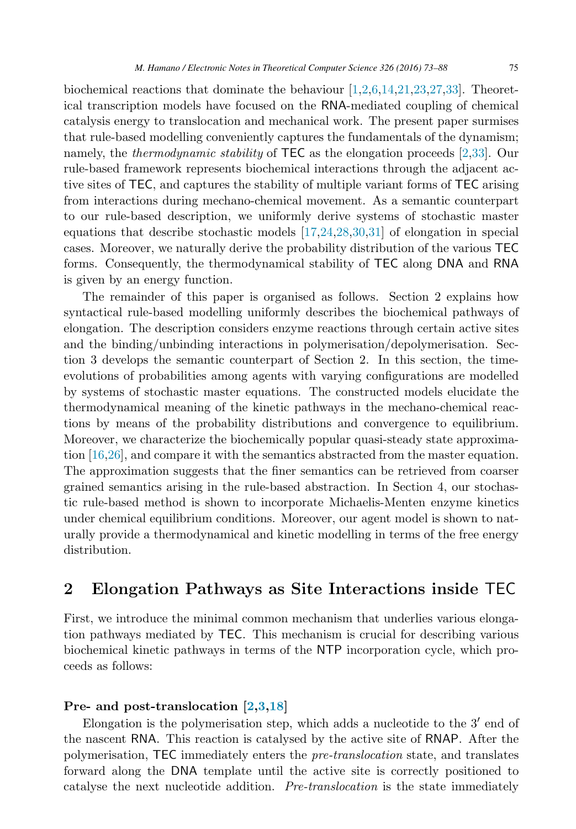<span id="page-2-0"></span>biochemical reactions that dominate the behaviour [\[1,2,6,14](#page-14-0)[,21,23,27,33\]](#page-15-0). Theoretical transcription models have focused on the RNA-mediated coupling of chemical catalysis energy to translocation and mechanical work. The present paper surmises that rule-based modelling conveniently captures the fundamentals of the dynamism; namely, the *thermodynamic stability* of TEC as the elongation proceeds [\[2,](#page-14-0)[33\]](#page-15-0). Our rule-based framework represents biochemical interactions through the adjacent active sites of TEC, and captures the stability of multiple variant forms of TEC arising from interactions during mechano-chemical movement. As a semantic counterpart to our rule-based description, we uniformly derive systems of stochastic master equations that describe stochastic models [\[17](#page-14-0)[,24,28,30,31\]](#page-15-0) of elongation in special cases. Moreover, we naturally derive the probability distribution of the various TEC forms. Consequently, the thermodynamical stability of TEC along DNA and RNA is given by an energy function.

The remainder of this paper is organised as follows. Section 2 explains how syntactical rule-based modelling uniformly describes the biochemical pathways of elongation. The description considers enzyme reactions through certain active sites and the binding/unbinding interactions in polymerisation/depolymerisation. Section 3 develops the semantic counterpart of Section 2. In this section, the timeevolutions of probabilities among agents with varying configurations are modelled by systems of stochastic master equations. The constructed models elucidate the thermodynamical meaning of the kinetic pathways in the mechano-chemical reactions by means of the probability distributions and convergence to equilibrium. Moreover, we characterize the biochemically popular quasi-steady state approximation [\[16](#page-14-0)[,26\]](#page-15-0), and compare it with the semantics abstracted from the master equation. The approximation suggests that the finer semantics can be retrieved from coarser grained semantics arising in the rule-based abstraction. In Section 4, our stochastic rule-based method is shown to incorporate Michaelis-Menten enzyme kinetics under chemical equilibrium conditions. Moreover, our agent model is shown to naturally provide a thermodynamical and kinetic modelling in terms of the free energy distribution.

## **2 Elongation Pathways as Site Interactions inside** TEC

First, we introduce the minimal common mechanism that underlies various elongation pathways mediated by TEC. This mechanism is crucial for describing various biochemical kinetic pathways in terms of the NTP incorporation cycle, which proceeds as follows:

#### **Pre- and post-translocation [\[2,3](#page-14-0)[,18\]](#page-15-0)**

Elongation is the polymerisation step, which adds a nucleotide to the  $3'$  end of the nascent RNA. This reaction is catalysed by the active site of RNAP. After the polymerisation, TEC immediately enters the pre-translocation state, and translates forward along the DNA template until the active site is correctly positioned to catalyse the next nucleotide addition. Pre-translocation is the state immediately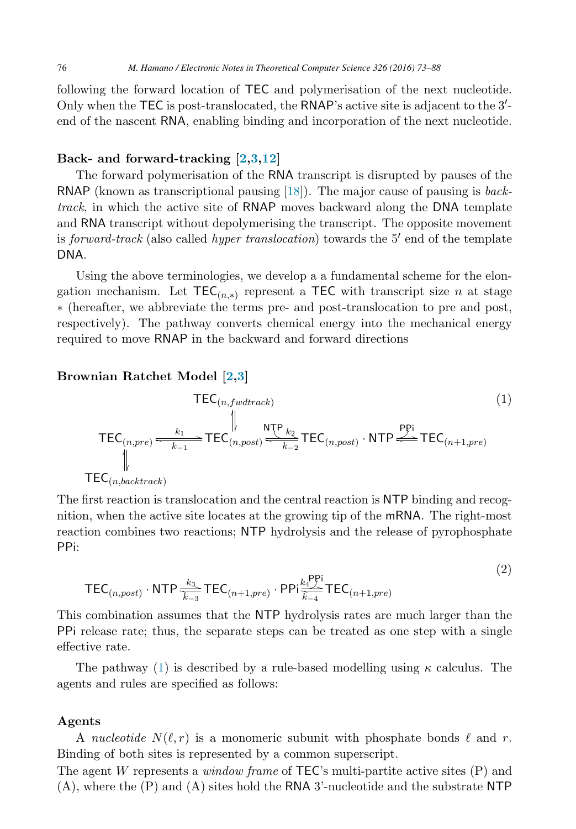<span id="page-3-0"></span>following the forward location of TEC and polymerisation of the next nucleotide. Only when the TEC is post-translocated, the RNAP's active site is adjacent to the 3'-<br>end of the nascent RNA enabling binding and incorporation of the next nucleotide. end of the nascent RNA, enabling binding and incorporation of the next nucleotide.

#### **Back- and forward-tracking [\[2,3,12\]](#page-14-0)**

The forward polymerisation of the RNA transcript is disrupted by pauses of the RNAP (known as transcriptional pausing [\[18\]](#page-15-0)). The major cause of pausing is backtrack, in which the active site of RNAP moves backward along the DNA template and RNA transcript without depolymerising the transcript. The opposite movement is *forward-track* (also called *hyper translocation*) towards the 5' end of the template DNA.

Using the above terminologies, we develop a a fundamental scheme for the elongation mechanism. Let  $TEC_{(n,*)}$  represent a TEC with transcript size n at stage ∗ (hereafter, we abbreviate the terms pre- and post-translocation to pre and post, respectively). The pathway converts chemical energy into the mechanical energy required to move RNAP in the backward and forward directions

#### **Brownian Ratchet Model [\[2,3\]](#page-14-0)**

$$
\text{TEC}_{(n, fwdtrack)} \qquad (1)
$$
\n
$$
\text{TEC}_{(n, pre)} \xrightarrow[k]{} \text{TEC}_{(n, post)} \xrightarrow[k]{} \text{TEC}_{(n, post)} \cdot \text{NTP} \xrightarrow{PPi} \text{TEC}_{(n+1, pre)}
$$
\n
$$
\uparrow
$$
\n
$$
\text{TEC}_{(n, backtrack)}
$$
\n
$$
\text{TEC}_{(n, backtrack)}
$$
\n
$$
(1)
$$

The first reaction is translocation and the central reaction is NTP binding and recognition, when the active site locates at the growing tip of the mRNA. The right-most reaction combines two reactions; NTP hydrolysis and the release of pyrophosphate PPi:

$$
\mathsf{TEC}_{(n,post)} \cdot \mathsf{NTP} \xrightarrow[k-3]{k_3} \mathsf{TEC}_{(n+1,pre)} \cdot \mathsf{PPi} \xleftarrow[k+1,pre]{k_1^{\mathsf{PP}i}} \mathsf{TEC}_{(n+1,pre)} \tag{2}
$$

 $(2)$ 

This combination assumes that the NTP hydrolysis rates are much larger than the PPi release rate; thus, the separate steps can be treated as one step with a single effective rate.

The pathway (1) is described by a rule-based modelling using  $\kappa$  calculus. The agents and rules are specified as follows:

#### **Agents**

A nucleotide  $N(\ell, r)$  is a monomeric subunit with phosphate bonds  $\ell$  and r. Binding of both sites is represented by a common superscript.

The agent W represents a *window frame* of  $TEC$ 's multi-partite active sites  $(P)$  and (A), where the (P) and (A) sites hold the RNA 3'-nucleotide and the substrate NTP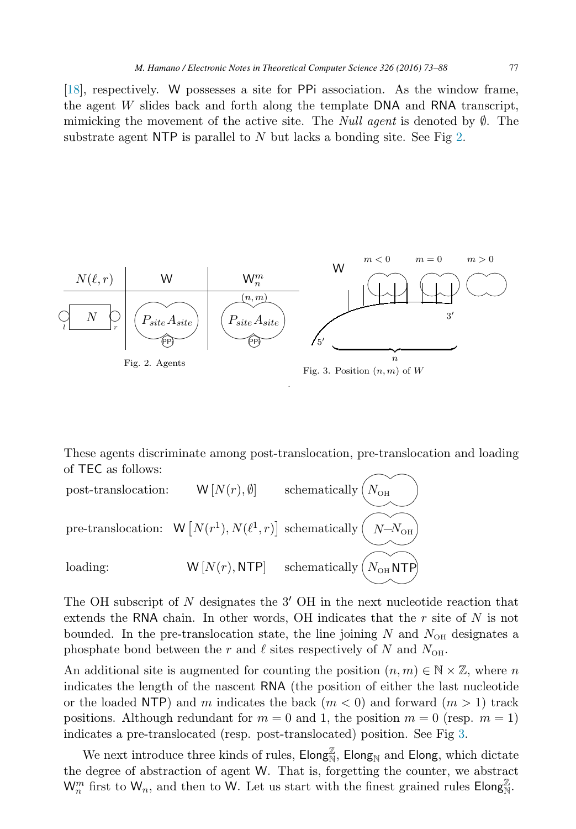[\[18\]](#page-15-0), respectively. W possesses a site for PPi association. As the window frame, the agent <sup>W</sup> slides back and forth along the template DNA and RNA transcript, mimicking the movement of the active site. The *Null agent* is denoted by  $\emptyset$ . The substrate agent NTP is parallel to  $N$  but lacks a bonding site. See Fig 2.



These agents discriminate among post-translocation, pre-translocation and loading



The OH subscript of  $N$  designates the  $3'$  OH in the next nucleotide reaction that extends the RNA chain. In other words, OH indicates that the  $r$  site of  $N$  is not bounded. In the pre-translocation state, the line joining  $N$  and  $N_{\text{OH}}$  designates a phosphate bond between the r and  $\ell$  sites respectively of N and  $N_{\text{OH}}$ .

An additional site is augmented for counting the position  $(n, m) \in \mathbb{N} \times \mathbb{Z}$ , where n indicates the length of the nascent RNA (the position of either the last nucleotide or the loaded NTP) and m indicates the back  $(m < 0)$  and forward  $(m > 1)$  track positions. Although redundant for  $m = 0$  and 1, the position  $m = 0$  (resp.  $m = 1$ ) indicates a pre-translocated (resp. post-translocated) position. See Fig 3.

We next introduce three kinds of rules,  $\text{Elong}_N^{\mathbb{Z}}$ ,  $\text{Elong}_N$  and  $\text{Elong}$ , which dictate degree of abstraction of agent W. That is forgotting the counter we abstract the degree of abstraction of agent W. That is, forgetting the counter, we abstract  $W_n^m$  first to  $W_n$ , and then to W. Let us start with the finest grained rules  $\mathsf{Elong}_N^{\mathbb{Z}}$ .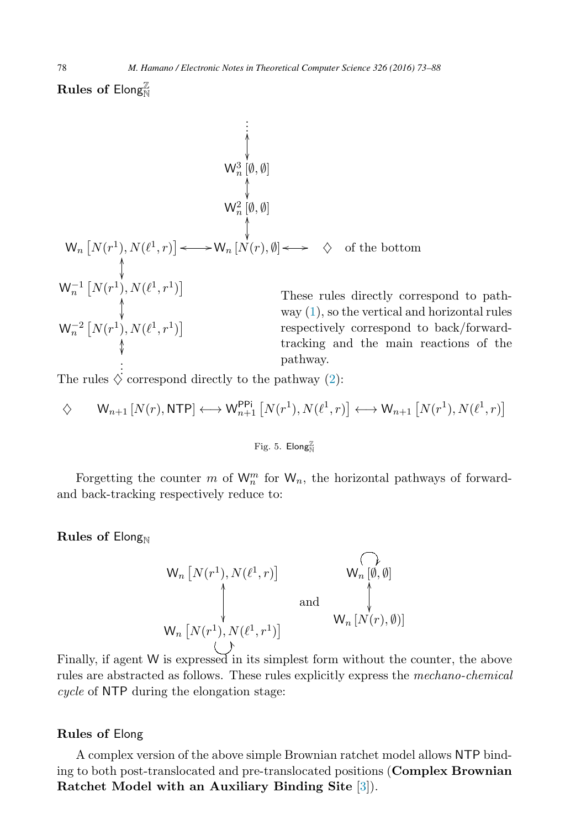$\mathbf{Rules}$  of  $\mathsf{Elong}^{\mathbb{Z}}_{\mathbb{N}}$ 

. . . W3 <sup>n</sup> [∅, <sup>∅</sup>] -- - -W2 <sup>n</sup> [∅, <sup>∅</sup>] -- Wn N(r1), N(1, r) <sup>W</sup><sup>n</sup> [N(r), <sup>∅</sup>] ♦ of the bottom <sup>W</sup>−<sup>1</sup> <sup>n</sup> N(r1), N(1, r1) - -<sup>W</sup>−<sup>2</sup> <sup>n</sup> N(r1), N(1, r1) - --- . . These rules directly correspond to pathway [\(1\)](#page-3-0), so the vertical and horizontal rules respectively correspond to back/forwardtracking and the main reactions of the pathway.

The rules  $\diamondsuit$  correspond directly to the pathway [\(2\)](#page-3-0):

$$
\diamondsuit \qquad W_{n+1}\left[N(r),\text{NTP}\right] \longleftrightarrow W_{n+1}^{\text{PPi}}\left[N(r^1),N(\ell^1,r)\right] \longleftrightarrow W_{n+1}\left[N(r^1),N(\ell^1,r)\right]
$$

Fig. 5.  $\mathsf{Elong}^{\mathbb{Z}}_{\mathbb{N}}$ 

Forgetting the counter m of  $W_n^m$  for  $W_n$ , the horizontal pathways of forward-<br>lack tracking respectively reduce to: and back-tracking respectively reduce to:

**Rules of Elong**<sub>N</sub>

$$
W_n[N(r^1), N(\ell^1, r)] \qquad W_n[\emptyset, \emptyset]
$$
\nand\n
$$
W_n[N(r^1), N(\ell^1, r^1)]
$$
\n
$$
W_n[N(r), \emptyset]
$$
\n
$$
(1)
$$

Finally, if agent W is expressed in its simplest form without the counter, the above rules are abstracted as follows. These rules explicitly express the mechano-chemical cycle of NTP during the elongation stage:

#### **Rules of** Elong

A complex version of the above simple Brownian ratchet model allows NTP binding to both post-translocated and pre-translocated positions (**Complex Brownian Ratchet Model with an Auxiliary Binding Site** [\[3\]](#page-14-0)).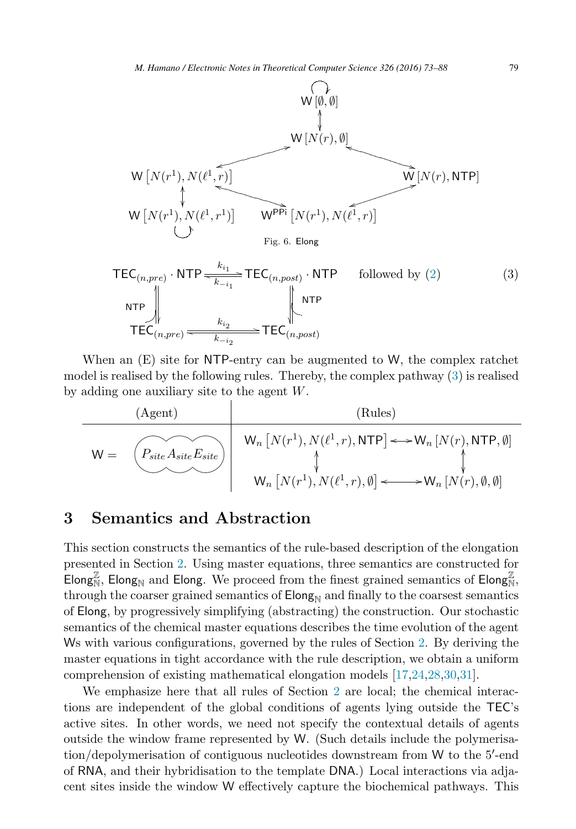<span id="page-6-0"></span>

When an (E) site for NTP-entry can be augmented to W, the complex ratchet model is realised by the following rules. Thereby, the complex pathway (3) is realised by adding one auxiliary site to the agent W.

(Agent)  
\n(W = 
$$
\overbrace{\left(\begin{matrix} P_{site} A_{site} E_{site} \\ \text{W}_n \end{matrix}\right)}^{(Rules)}
$$
  
\nW<sub>n</sub>  $\left[N(r^1), N(\ell^1, r), \text{NTP}\right] \longleftrightarrow W_n \left[N(r), \text{NTP}, \emptyset\right]$   
\nW<sub>n</sub>  $\left[N(r^1), N(\ell^1, r), \emptyset\right] \longleftrightarrow W_n \left[N(r), \emptyset, \emptyset\right]$ 

### **3 Semantics and Abstraction**

This section constructs the semantics of the rule-based description of the elongation presented in Section [2.](#page-2-0) Using master equations, three semantics are constructed for Elong<sub>N</sub>, Elong<sub>N</sub> and Elong. We proceed from the finest grained semantics of Elong<sub>N</sub>,<br>through the context grained semantics of Elong<sub>N</sub> and finally to the context semantics through the coarser grained semantics of  $\mathsf{Elong}_{N}$  and finally to the coarsest semantics of Elong, by progressively simplifying (abstracting) the construction. Our stochastic semantics of the chemical master equations describes the time evolution of the agent Ws with various configurations, governed by the rules of Section [2.](#page-2-0) By deriving the master equations in tight accordance with the rule description, we obtain a uniform comprehension of existing mathematical elongation models [\[17](#page-14-0)[,24,28,30,31\]](#page-15-0).

We emphasize here that all rules of Section [2](#page-2-0) are local; the chemical interactions are independent of the global conditions of agents lying outside the TEC's active sites. In other words, we need not specify the contextual details of agents outside the window frame represented by W. (Such details include the polymerisation/depolymerisation of contiguous nucleotides downstream from W to the 5'-end<br>of RNA, and their hybridisation to the template DNA.) Local interactions via adja of RNA, and their hybridisation to the template DNA.) Local interactions via adjacent sites inside the window W effectively capture the biochemical pathways. This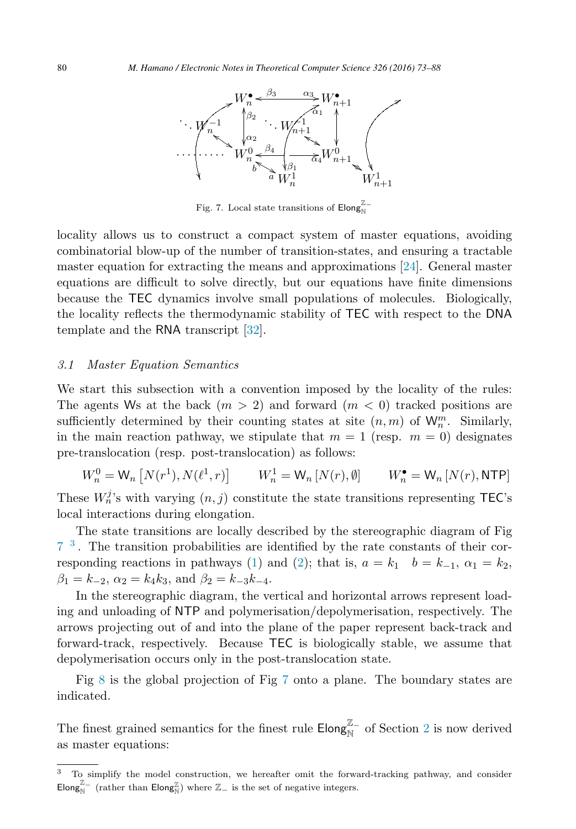<span id="page-7-0"></span>

Fig. 7. Local state transitions of  $\mathsf{Elong}^{\mathbb{Z}-}_{\mathbb{N}}$ 

locality allows us to construct a compact system of master equations, avoiding combinatorial blow-up of the number of transition-states, and ensuring a tractable master equation for extracting the means and approximations [\[24\]](#page-15-0). General master equations are difficult to solve directly, but our equations have finite dimensions because the TEC dynamics involve small populations of molecules. Biologically, the locality reflects the thermodynamic stability of TEC with respect to the DNA template and the RNA transcript [\[32\]](#page-15-0).

#### 3.1 Master Equation Semantics

We start this subsection with a convention imposed by the locality of the rules: The agents Ws at the back  $(m > 2)$  and forward  $(m < 0)$  tracked positions are sufficiently determined by their counting states at site  $(n, m)$  of  $W_n^m$ . Similarly, in the main reaction pathway, we stipulate that  $m = 1$  (resp.  $m = 0$ ) designates pre-translocation (resp. post-translocation) as follows:

$$
W_n^0 = \mathsf{W}_n \left[ N(r^1), N(\ell^1, r) \right] \qquad W_n^1 = \mathsf{W}_n \left[ N(r), \emptyset \right] \qquad W_n^{\bullet} = \mathsf{W}_n \left[ N(r), \mathsf{NTP} \right]
$$

These  $W_n^j$ 's with varying  $(n, j)$  constitute the state transitions representing TEC's<br>local interactions during elemention local interactions during elongation.

The state transitions are locally described by the stereographic diagram of Fig 7 <sup>3</sup> . The transition probabilities are identified by the rate constants of their cor-responding reactions in pathways [\(1\)](#page-3-0) and [\(2\)](#page-3-0); that is,  $a = k_1$   $b = k_{-1}$ ,  $\alpha_1 = k_2$ ,  $\beta_1 = k_{-2}, \ \alpha_2 = k_4 k_3, \text{ and } \beta_2 = k_{-3} k_{-4}.$ 

In the stereographic diagram, the vertical and horizontal arrows represent loading and unloading of NTP and polymerisation/depolymerisation, respectively. The arrows projecting out of and into the plane of the paper represent back-track and forward-track, respectively. Because TEC is biologically stable, we assume that depolymerisation occurs only in the post-translocation state.

Fig [8](#page-8-0) is the global projection of Fig 7 onto a plane. The boundary states are indicated.

The finest grained semantics for the finest rule  $\mathsf{Elong}^{\mathbb{Z}_-}_{\mathbb{N}}$  of Section [2](#page-2-0) is now derived as master equations: as master equations:

<sup>&</sup>lt;sup>3</sup> To simplify the model construction, we hereafter omit the forward-tracking pathway, and consider Elong<sub>N</sub><sup>Z</sup> (rather than Elong<sub>N</sub><sup>2</sup>) where Z<sub>−</sub> is the set of negative integers.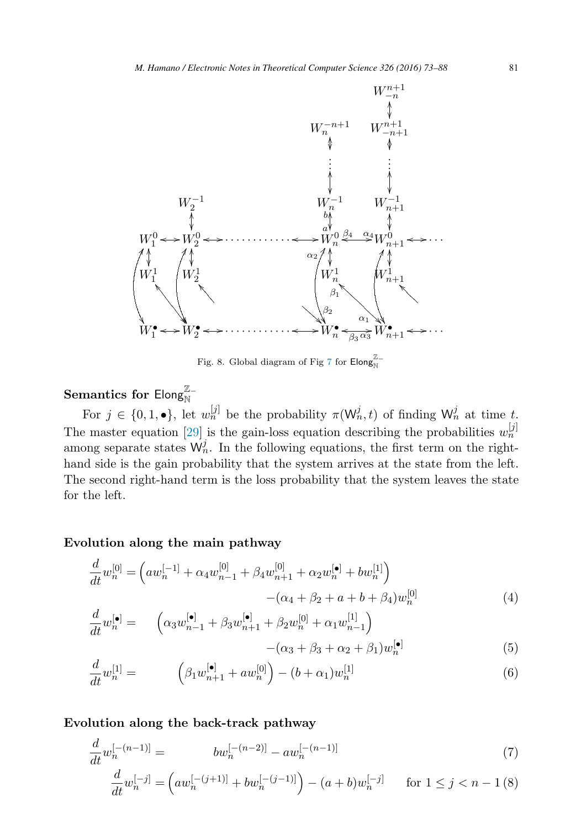<span id="page-8-0"></span>

Fig. 8. Global diagram of Fig [7](#page-7-0) for  $\mathsf{Elong}^{\mathbb{Z}-}_{\mathbb{N}}$ 

# **Semantics for Elong** $\mathbb{Z}$ <sup> $\mathbb{Z}$ </sup>

For  $j \in \{0, 1, \bullet\}$ , let  $w_n^{[j]}$  be the probability  $\pi(\mathsf{W}_n^j, t)$  of finding  $\mathsf{W}_n^j$  at time t. The master equation [\[29\]](#page-15-0) is the gain-loss equation describing the probabilities  $w_n^{[j]}$ among separate states  $W_n^j$ . In the following equations, the first term on the righthand side is the gain probability that the system arrives at the state from the left. The second right-hand term is the loss probability that the system leaves the state for the left.

#### **Evolution along the main pathway**

$$
\frac{d}{dt}w_n^{[0]} = \left( aw_n^{[-1]} + \alpha_4 w_{n-1}^{[0]} + \beta_4 w_{n+1}^{[0]} + \alpha_2 w_n^{[\bullet]} + bw_n^{[1]}\right) -(\alpha_4 + \beta_2 + a + b + \beta_4)w_n^{[0]}
$$
\n(4)

$$
\frac{d}{dt}w_n^{[\bullet]} = \begin{pmatrix} \alpha_3 w_{n-1}^{[\bullet]} + \beta_3 w_{n+1}^{[\bullet]} + \beta_2 w_n^{[0]} + \alpha_1 w_{n-1}^{[1]}\end{pmatrix} - (\alpha_3 + \beta_3 + \alpha_2 + \beta_1)w_n^{[\bullet]}
$$
\n(5)

$$
\frac{d}{dt}w_n^{[1]} = \left(\beta_1 w_{n+1}^{[\bullet]} + aw_n^{[0]}\right) - (b + \alpha_1)w_n^{[1]} \tag{6}
$$

#### **Evolution along the back-track pathway**

$$
\frac{d}{dt}w_n^{[-(n-1)]} = \t\t\t bw_n^{[-(n-2)]} - aw_n^{[-(n-1)]} \tag{7}
$$

$$
\frac{d}{dt}w_n^{[-j]} = \left( aw_n^{[-(j+1)]} + bw_n^{[-(j-1)]} \right) - (a+b)w_n^{[-j]} \quad \text{for } 1 \le j < n-1 \, (8)
$$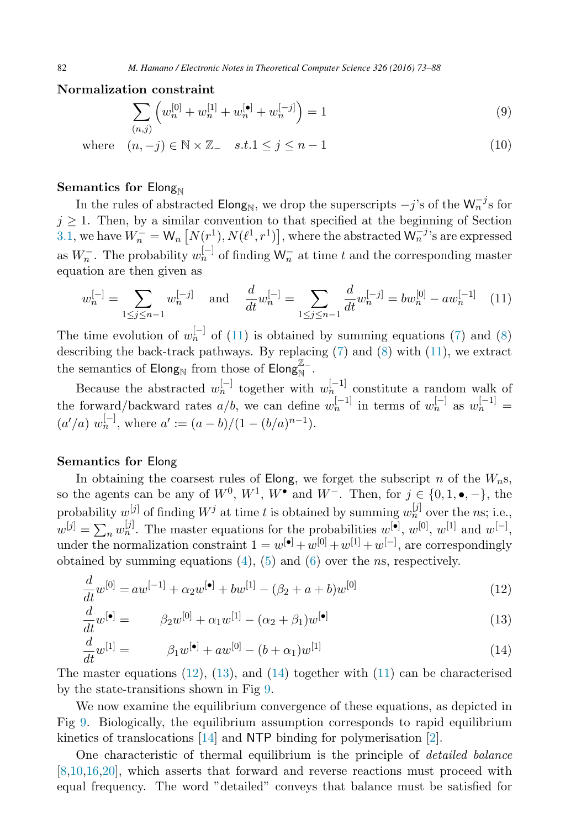#### <span id="page-9-0"></span>**Normalization constraint**

$$
\sum_{(n,j)} \left( w_n^{[0]} + w_n^{[1]} + w_n^{[\bullet]} + w_n^{[-j]} \right) = 1 \tag{9}
$$

## where  $(n, -j) \in \mathbb{N} \times \mathbb{Z}$   $s.t.1 \leq j \leq n-1$  (10)

#### **Semantics for Elong**<sub>N</sub>

In the rules of abstracted Elong<sub>N</sub>, we drop the superscripts  $-j$ 's of the W<sup>-j</sup>s for  $j \geq 1$ . Then, by a similar convention to that specified at the beginning of Section [3.1,](#page-7-0) we have  $W_n^- = W_n \left[ N(r^1), N(\ell^1, r^1) \right]$ , where the abstracted  $W_n^{-j}$ 's are expressed as  $W_n^-$ . The probability  $w_n^{[-]}$  of finding  $\mathsf{W}_n^-$  at time t and the corresponding master equation are then given as equation are then given as

$$
w_n^{[-]} = \sum_{1 \le j \le n-1} w_n^{[-j]} \quad \text{and} \quad \frac{d}{dt} w_n^{[-]} = \sum_{1 \le j \le n-1} \frac{d}{dt} w_n^{[-j]} = b w_n^{[0]} - a w_n^{[-1]} \tag{11}
$$

The time evolution of  $w_n^{[-]}$  of (11) is obtained by summing equations [\(7\)](#page-8-0) and [\(8\)](#page-8-0) describing the back-track pathways. By replacing [\(7\)](#page-8-0) and [\(8\)](#page-8-0) with (11), we extract the semantics of Elong<sub>N</sub> from those of Elong<sub>N</sub><sup>Z</sup>−

Because the abstracted  $w_n^{[-]}$  together with  $w_n^{[-1]}$  constitute a random walk of the forward/backward rates  $a/b$ , we can define  $w_n^{[-1]}$  in terms of  $w_n^{[-1]}$  as  $w_n^{[-1]}$  =  $(a'/a) w_n^{[-]}$ , where  $a' := (a - b)/(1 - (b/a)^{n-1})$ .

#### **Semantics for** Elong

In obtaining the coarsest rules of Elong, we forget the subscript n of the  $W_n$ s, so the agents can be any of  $W^0$ ,  $W^1$ ,  $W^{\bullet}$  and  $W^-$ . Then, for  $j \in \{0, 1, \bullet, -\}$ , the probability  $w^{[j]}$  of finding  $W^j$  at time t is obtained by summing  $w^{[j]}_n$  over the ns; i.e.,  $w^{[j]} = \sum_{n} w^{[j]}_{n}$ . The master equations for the probabilities  $w^{[\bullet]}, w^{[0]}, w^{[1]}$  and  $w^{[-]}$ , under the normalization constraint  $1 = w^{[\bullet]} + w^{[0]} + w^{[1]} + w^{[-]}$ , are correspondingly obtained by summing equations  $(4)$ ,  $(5)$  and  $(6)$  over the *ns*, respectively.

$$
\frac{d}{dt}w^{[0]} = aw^{[-1]} + \alpha_2 w^{[\bullet]} + bw^{[1]} - (\beta_2 + a + b)w^{[0]} \tag{12}
$$
\n
$$
\frac{d}{dt} \left[ \begin{array}{cc} \text{[} \\ \text{[} \\ \text{[} \end{array} \right] \tag{12}
$$

$$
\frac{a}{dt}w^{[\bullet]} = \beta_2 w^{[0]} + \alpha_1 w^{[1]} - (\alpha_2 + \beta_1)w^{[\bullet]}
$$
\n(13)

$$
\frac{d}{dt}w^{[1]} = \beta_1 w^{[\bullet]} + aw^{[0]} - (b + \alpha_1)w^{[1]} \tag{14}
$$

The master equations  $(12)$ ,  $(13)$ , and  $(14)$  together with  $(11)$  can be characterised by the state-transitions shown in Fig [9.](#page-10-0)

We now examine the equilibrium convergence of these equations, as depicted in Fig [9.](#page-10-0) Biologically, the equilibrium assumption corresponds to rapid equilibrium kinetics of translocations [\[14\]](#page-14-0) and NTP binding for polymerisation [\[2\]](#page-14-0).

One characteristic of thermal equilibrium is the principle of detailed balance [\[8,10,16,](#page-14-0)[20\]](#page-15-0), which asserts that forward and reverse reactions must proceed with equal frequency. The word "detailed" conveys that balance must be satisfied for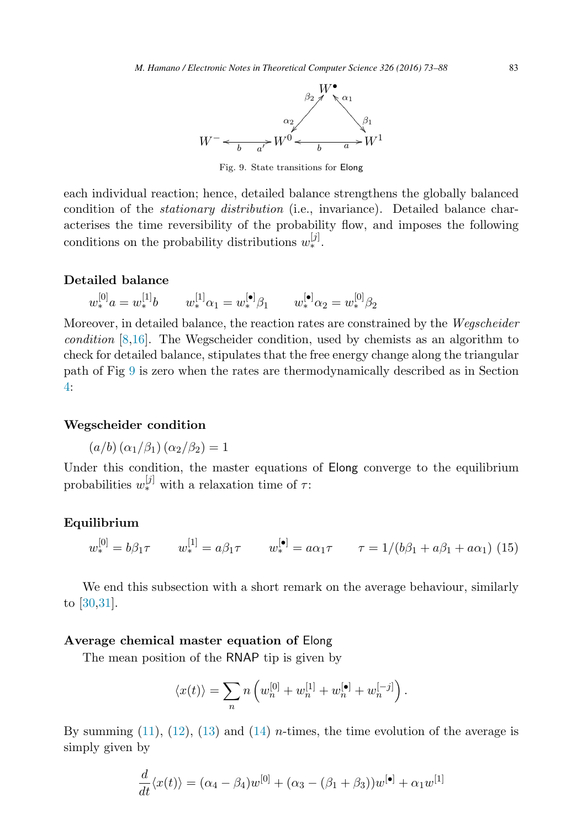

Fig. 9. State transitions for Elong

<span id="page-10-0"></span>each individual reaction; hence, detailed balance strengthens the globally balanced condition of the stationary distribution (i.e., invariance). Detailed balance characterises the time reversibility of the probability flow, and imposes the following conditions on the probability distributions  $w_*^{[j]}$ .

#### **Detailed balance**

 $w_*^{[0]}a = w_*^{[1]}b \qquad w_*^{[1]}\alpha_1 = w_*^{[\bullet]}\beta_1 \qquad w_*^{[\bullet]}\alpha_2 = w_*^{[0]}\beta_2$ 

Moreover, in detailed balance, the reaction rates are constrained by the Wegscheider condition [\[8,16\]](#page-14-0). The Wegscheider condition, used by chemists as an algorithm to check for detailed balance, stipulates that the free energy change along the triangular path of Fig 9 is zero when the rates are thermodynamically described as in Section [4:](#page-11-0)

#### **Wegscheider condition**

$$
(a/b) (\alpha_1/\beta_1) (\alpha_2/\beta_2) = 1
$$

Under this condition, the master equations of **Elong** converge to the equilibrium probabilities  $w_*^{[j]}$  with a relaxation time of  $\tau$ :

#### **Equilibrium**

$$
w_*^{[0]} = b\beta_1 \tau \qquad w_*^{[1]} = a\beta_1 \tau \qquad w_*^{[\bullet]} = a\alpha_1 \tau \qquad \tau = 1/(b\beta_1 + a\beta_1 + a\alpha_1) \tag{15}
$$

We end this subsection with a short remark on the average behaviour, similarly to [\[30,31\]](#page-15-0).

#### **Average chemical master equation of** Elong

The mean position of the RNAP tip is given by

$$
\langle x(t)\rangle=\sum_n n\left(w_n^{[0]}+w_n^{[1]}+w_n^{[\bullet]}+w_n^{[-j]}\right).
$$

By summing  $(11)$ ,  $(12)$ ,  $(13)$  and  $(14)$  *n*-times, the time evolution of the average is simply given by

$$
\frac{d}{dt}\langle x(t)\rangle = (\alpha_4 - \beta_4)w^{[0]} + (\alpha_3 - (\beta_1 + \beta_3))w^{[\bullet]} + \alpha_1 w^{[1]}
$$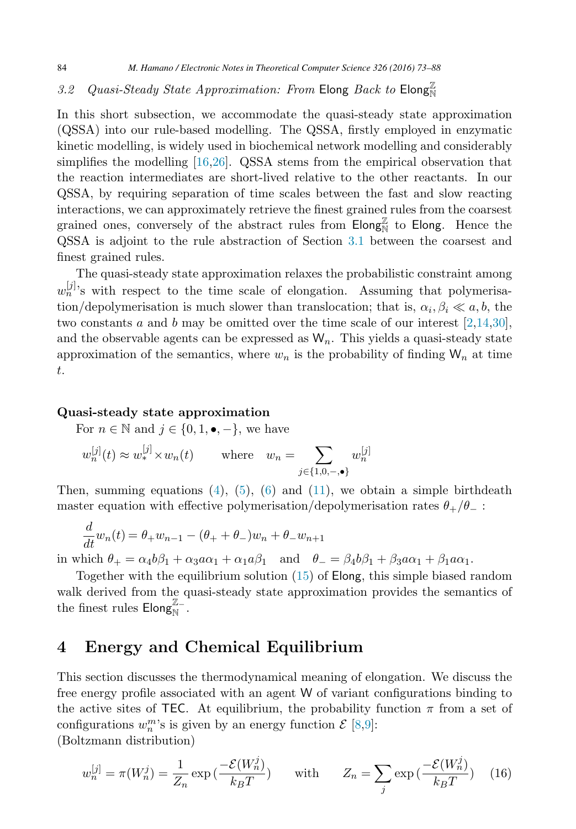# <span id="page-11-0"></span>3.2 Quasi-Steady State Approximation: From Elong Back to  $\mathsf{Elong}^{\mathbb{Z}}_{\mathbb{N}}$

In this short subsection, we accommodate the quasi-steady state approximation (QSSA) into our rule-based modelling. The QSSA, firstly employed in enzymatic kinetic modelling, is widely used in biochemical network modelling and considerably simplifies the modelling [\[16](#page-14-0)[,26\]](#page-15-0). QSSA stems from the empirical observation that the reaction intermediates are short-lived relative to the other reactants. In our QSSA, by requiring separation of time scales between the fast and slow reacting interactions, we can approximately retrieve the finest grained rules from the coarsest grained ones, conversely of the abstract rules from  $\overline{\text{Elong}}_N^{\mathbb{Z}}$  to  $\overline{\text{Elong}}$ . Hence the OSSA is adjoint to the rule abstraction of Section 3.1 between the coarsest and QSSA is adjoint to the rule abstraction of Section [3.1](#page-7-0) between the coarsest and finest grained rules.

The quasi-steady state approximation relaxes the probabilistic constraint among  $w_n^{[j]}$ 's with respect to the time scale of elongation. Assuming that polymerisation/depolymerisation is much slower than translocation; that is,  $\alpha_i, \beta_i \ll a, b$ , the two constants a and b may be omitted over the time scale of our interest  $[2,14,30]$  $[2,14,30]$ , and the observable agents can be expressed as  $W_n$ . This yields a quasi-steady state approximation of the semantics, where  $w_n$  is the probability of finding  $\mathsf{W}_n$  at time t.

#### **Quasi-steady state approximation**

For  $n \in \mathbb{N}$  and  $j \in \{0, 1, \bullet, -\}$ , we have

$$
w_n^{[j]}(t) \approx w_*^{[j]} \times w_n(t) \qquad \text{where} \quad w_n = \sum_{j \in \{1, 0, -\bullet\}} w_n^{[j]}
$$

Then, summing equations  $(4)$ ,  $(5)$ ,  $(6)$  and  $(11)$ , we obtain a simple birthdeath master equation with effective polymerisation/depolymerisation rates  $\theta_+/\theta_-$ :

$$
\frac{d}{dt}w_n(t) = \theta_+ w_{n-1} - (\theta_+ + \theta_-)w_n + \theta_- w_{n+1}
$$

in which  $\theta_+ = \alpha_4 b \beta_1 + \alpha_3 a \alpha_1 + \alpha_1 a \beta_1$  and  $\theta_- = \beta_4 b \beta_1 + \beta_3 a \alpha_1 + \beta_1 a \alpha_1$ .

Together with the equilibrium solution [\(15\)](#page-10-0) of Elong, this simple biased random walk derived from the quasi-steady state approximation provides the semantics of the finest rules  $\mathsf{Elong}^{\mathbb{Z}-1}_{\mathbb{N}}$ .

## **4 Energy and Chemical Equilibrium**

This section discusses the thermodynamical meaning of elongation. We discuss the free energy profile associated with an agent W of variant configurations binding to the active sites of TEC. At equilibrium, the probability function  $\pi$  from a set of configurations  $w_n^m$ 's is given by an energy function  $\mathcal{E}$  [\[8,9\]](#page-14-0):

(Boltzmann distribution)

$$
w_n^{[j]} = \pi(W_n^j) = \frac{1}{Z_n} \exp\left(\frac{-\mathcal{E}(W_n^j)}{k_B T}\right) \quad \text{with} \quad Z_n = \sum_j \exp\left(\frac{-\mathcal{E}(W_n^j)}{k_B T}\right) \tag{16}
$$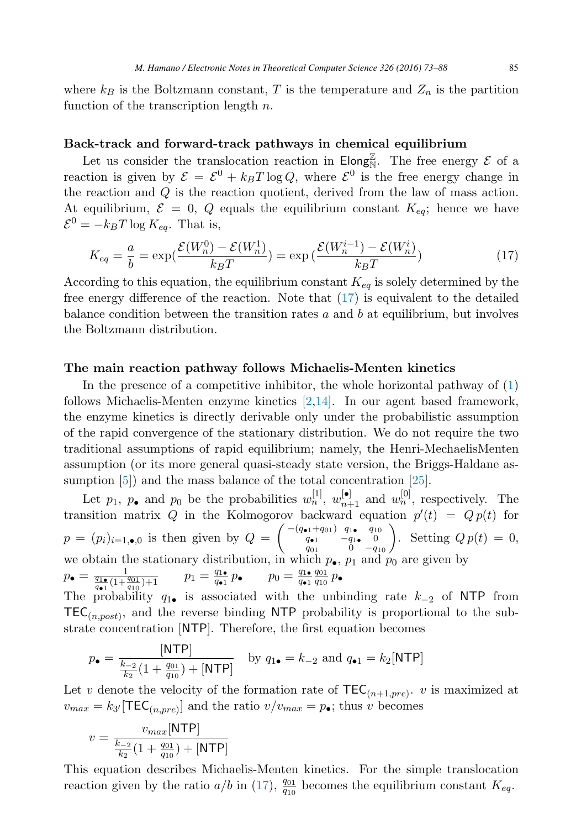where  $k_B$  is the Boltzmann constant, T is the temperature and  $Z_n$  is the partition function of the transcription length  $n$ .

#### **Back-track and forward-track pathways in chemical equilibrium**

Let us consider the translocation reaction in  $\text{Elong}_N^{\mathbb{Z}}$ . The free energy  $\mathcal{E}$  of a<br>tion is given by  $\mathcal{E} = \mathcal{E}^0 + k_B T \log Q$ , where  $\mathcal{E}^0$  is the free energy change in reaction is given by  $\mathcal{E} = \mathcal{E}^0 + k_B T \log Q$ , where  $\mathcal{E}^0$  is the free energy change in the reaction and Q is the reaction quotient, derived from the law of mass action. At equilibrium,  $\mathcal{E} = 0$ , Q equals the equilibrium constant  $K_{eq}$ ; hence we have  $\mathcal{E}^0 = -k_BT \log K_{eq}$ . That is,

$$
K_{eq} = \frac{a}{b} = \exp\left(\frac{\mathcal{E}(W_n^0) - \mathcal{E}(W_n^1)}{k_B T}\right) = \exp\left(\frac{\mathcal{E}(W_n^{i-1}) - \mathcal{E}(W_n^i)}{k_B T}\right) \tag{17}
$$

According to this equation, the equilibrium constant  $K_{eq}$  is solely determined by the free energy difference of the reaction. Note that  $(17)$  is equivalent to the detailed balance condition between the transition rates  $a$  and  $b$  at equilibrium, but involves the Boltzmann distribution.

#### **The main reaction pathway follows Michaelis-Menten kinetics**

In the presence of a competitive inhibitor, the whole horizontal pathway of  $(1)$ follows Michaelis-Menten enzyme kinetics [\[2,14\]](#page-14-0). In our agent based framework, the enzyme kinetics is directly derivable only under the probabilistic assumption of the rapid convergence of the stationary distribution. We do not require the two traditional assumptions of rapid equilibrium; namely, the Henri-MechaelisMenten assumption (or its more general quasi-steady state version, the Briggs-Haldane as-sumption [\[5\]](#page-14-0)) and the mass balance of the total concentration [\[25\]](#page-15-0).

Let  $p_1$ ,  $p_{\bullet}$  and  $p_0$  be the probabilities  $w_n^{[1]}$ ,  $w_{n+1}^{[\bullet]}$  and  $w_n^{[0]}$ , respectively. The transition matrix Q in the Kolmogorov backward equation  $p'(t) = Q p(t)$  for  $p = (p_i)_{i=1,\bullet,0}$  is then given by  $Q = \begin{pmatrix} -(q_{\bullet 1} + q_{01}) & q_{1\bullet} & q_{10} \\ q_{\bullet 1} & -q_{1\bullet} & 0 \\ q_{\bullet 1} & 0 & -q_{1\bullet} \end{pmatrix}$  $q_{\bullet 1}$   $-q_{1\bullet}$  0  $\begin{pmatrix} q_{01} & q_{10} & q_{10} \ q_{01} & -q_{10} & 0 \ q_{01} & 0 & -q_{10} \end{pmatrix}$ . Setting  $Q p(t) = 0$ , we obtain the stationary distribution, in which  $p_{\bullet}$ ,  $p_1$  and  $p_0$  are given by  $p_{\bullet} = \frac{1}{\frac{q_{1\bullet}}{q_{\bullet 1}}(1+\frac{q_{01}}{q_{10}})+1}$   $p_1 = \frac{q_{1\bullet}}{q_{\bullet 1}} p_{\bullet}$   $p_0 = \frac{q_{1\bullet}}{q_{\bullet 1}}$  $\frac{q_{01}}{q_{10}} p_{\bullet}$ The probability  $q_1$ • is associated with the unbinding rate  $k_{-2}$  of NTP from  $TEC$ , and the reverse binding NTP probability is proportional to the sub-

 $\mathsf{TEC}_{(n,post)}$ , and the reverse binding NTP probability is proportional to the substrate concentration [NTP]. Therefore, the first equation becomes

$$
p_{\bullet} = \frac{[\text{NTP}]}{\frac{k-2}{k_2}(1 + \frac{q_{01}}{q_{10}}) + [\text{NTP}]} \text{ by } q_{1\bullet} = k_{-2} \text{ and } q_{\bullet 1} = k_2[\text{NTP}]
$$

Let v denote the velocity of the formation rate of  $\text{TEC}_{(n+1,pre)}$ . v is maximized at  $v_{max} = k_{3'}[TEC_{(n,pre)}]$  and the ratio  $v/v_{max} = p_{\bullet}$ ; thus v becomes

$$
v = \frac{v_{max}[\text{NTP}]}{\frac{k_{-2}}{k_2}(1 + \frac{q_{01}}{q_{10}}) + [\text{NTP}]}
$$

This equation describes Michaelis-Menten kinetics. For the simple translocation reaction given by the ratio  $a/b$  in (17),  $\frac{q_{01}}{q_{10}}$  becomes the equilibrium constant  $K_{eq}$ .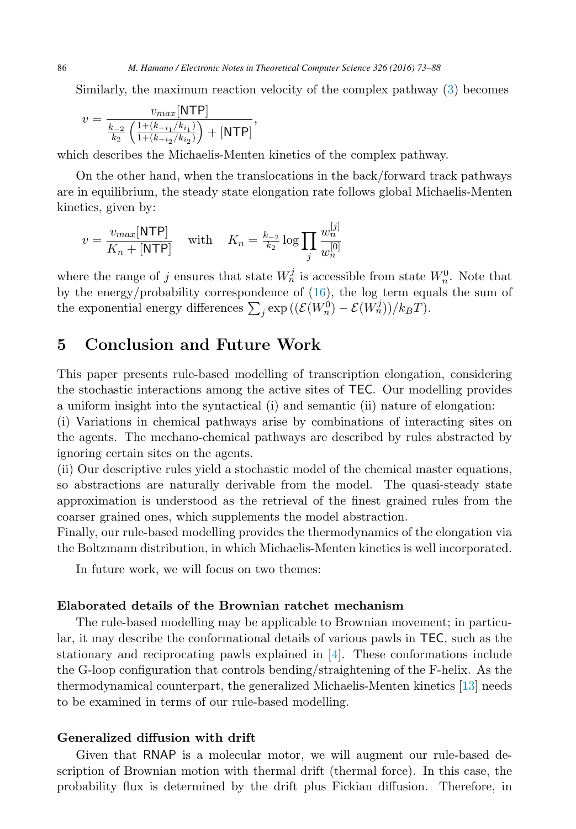Similarly, the maximum reaction velocity of the complex pathway [\(3\)](#page-6-0) becomes

$$
v = \frac{v_{max}[\text{NTP}]}{\frac{k_{-2}}{k_2} \left( \frac{1 + (k_{-i_1}/k_{i_1})}{1 + (k_{-i_2}/k_{i_2})} \right) + [\text{NTP}]},
$$

which describes the Michaelis-Menten kinetics of the complex pathway.

On the other hand, when the translocations in the back/forward track pathways are in equilibrium, the steady state elongation rate follows global Michaelis-Menten kinetics, given by:

$$
v = \frac{v_{max}[\text{NTP}]}{K_n + [\text{NTP}]} \quad \text{with} \quad K_n = \frac{k_{-2}}{k_2} \log \prod_j \frac{w_n^{[j]}}{w_n^{[0]}}
$$

where the range of j ensures that state  $W_n^j$  is accessible from state  $W_n^0$ . Note that by the energy/probability correspondence of [\(16\)](#page-11-0), the log term equals the sum of the exponential energy differences  $\sum_j \exp((\mathcal{E}(W_n^0) - \mathcal{E}(W_n^j))/k_BT)$ .

## **5 Conclusion and Future Work**

This paper presents rule-based modelling of transcription elongation, considering the stochastic interactions among the active sites of TEC. Our modelling provides a uniform insight into the syntactical (i) and semantic (ii) nature of elongation:

(i) Variations in chemical pathways arise by combinations of interacting sites on the agents. The mechano-chemical pathways are described by rules abstracted by ignoring certain sites on the agents.

(ii) Our descriptive rules yield a stochastic model of the chemical master equations, so abstractions are naturally derivable from the model. The quasi-steady state approximation is understood as the retrieval of the finest grained rules from the coarser grained ones, which supplements the model abstraction.

Finally, our rule-based modelling provides the thermodynamics of the elongation via the Boltzmann distribution, in which Michaelis-Menten kinetics is well incorporated.

In future work, we will focus on two themes:

#### **Elaborated details of the Brownian ratchet mechanism**

The rule-based modelling may be applicable to Brownian movement; in particular, it may describe the conformational details of various pawls in TEC, such as the stationary and reciprocating pawls explained in [\[4\]](#page-14-0). These conformations include the G-loop configuration that controls bending/straightening of the F-helix. As the thermodynamical counterpart, the generalized Michaelis-Menten kinetics [\[13\]](#page-14-0) needs to be examined in terms of our rule-based modelling.

#### **Generalized diffusion with drift**

Given that RNAP is a molecular motor, we will augment our rule-based description of Brownian motion with thermal drift (thermal force). In this case, the probability flux is determined by the drift plus Fickian diffusion. Therefore, in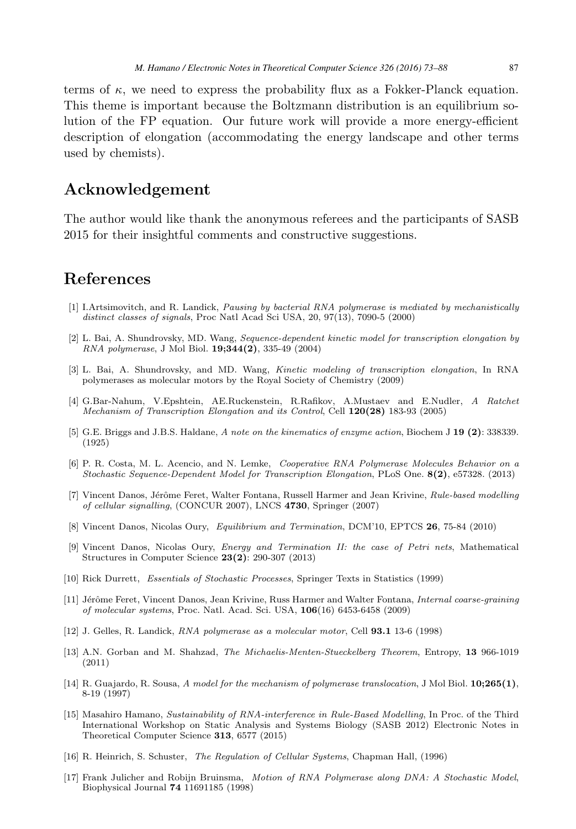<span id="page-14-0"></span>terms of  $\kappa$ , we need to express the probability flux as a Fokker-Planck equation. This theme is important because the Boltzmann distribution is an equilibrium solution of the FP equation. Our future work will provide a more energy-efficient description of elongation (accommodating the energy landscape and other terms used by chemists).

## **Acknowledgement**

The author would like thank the anonymous referees and the participants of SASB 2015 for their insightful comments and constructive suggestions.

### **References**

- [1] I.Artsimovitch, and R. Landick, Pausing by bacterial RNA polymerase is mediated by mechanistically distinct classes of signals, Proc Natl Acad Sci USA, 20, 97(13), 7090-5 (2000)
- [2] L. Bai, A. Shundrovsky, MD. Wang, Sequence-dependent kinetic model for transcription elongation by RNA polymerase, J Mol Biol. **19;344(2)**, 335-49 (2004)
- [3] L. Bai, A. Shundrovsky, and MD. Wang, Kinetic modeling of transcription elongation, In RNA polymerases as molecular motors by the Royal Society of Chemistry (2009)
- [4] G.Bar-Nahum, V.Epshtein, AE.Ruckenstein, R.Rafikov, A.Mustaev and E.Nudler, A Ratchet Mechanism of Transcription Elongation and its Control, Cell **120(28)** 183-93 (2005)
- [5] G.E. Briggs and J.B.S. Haldane, A note on the kinematics of enzyme action, Biochem J **19 (2)**: 338339. (1925)
- [6] P. R. Costa, M. L. Acencio, and N. Lemke, Cooperative RNA Polymerase Molecules Behavior on a Stochastic Sequence-Dependent Model for Transcription Elongation, PLoS One. **8(2)**, e57328. (2013)
- [7] Vincent Danos, Jérôme Feret, Walter Fontana, Russell Harmer and Jean Krivine, Rule-based modelling of cellular signalling, (CONCUR 2007), LNCS **4730**, Springer (2007)
- [8] Vincent Danos, Nicolas Oury, Equilibrium and Termination, DCM'10, EPTCS **26**, 75-84 (2010)
- [9] Vincent Danos, Nicolas Oury, Energy and Termination II: the case of Petri nets, Mathematical Structures in Computer Science **23(2)**: 290-307 (2013)
- [10] Rick Durrett, Essentials of Stochastic Processes, Springer Texts in Statistics (1999)
- [11] Jérôme Feret, Vincent Danos, Jean Krivine, Russ Harmer and Walter Fontana, *Internal coarse-graining* of molecular systems, Proc. Natl. Acad. Sci. USA, **106**(16) 6453-6458 (2009)
- [12] J. Gelles, R. Landick, RNA polymerase as a molecular motor, Cell **93.1** 13-6 (1998)
- [13] A.N. Gorban and M. Shahzad, The Michaelis-Menten-Stueckelberg Theorem, Entropy, **13** 966-1019 (2011)
- [14] R. Guajardo, R. Sousa, A model for the mechanism of polymerase translocation, J Mol Biol. **10;265(1)**, 8-19 (1997)
- [15] Masahiro Hamano, Sustainability of RNA-interference in Rule-Based Modelling, In Proc. of the Third International Workshop on Static Analysis and Systems Biology (SASB 2012) Electronic Notes in Theoretical Computer Science **313**, 6577 (2015)
- [16] R. Heinrich, S. Schuster, The Regulation of Cellular Systems, Chapman Hall, (1996)
- [17] Frank Julicher and Robijn Bruinsma, Motion of RNA Polymerase along DNA: A Stochastic Model, Biophysical Journal **74** 11691185 (1998)